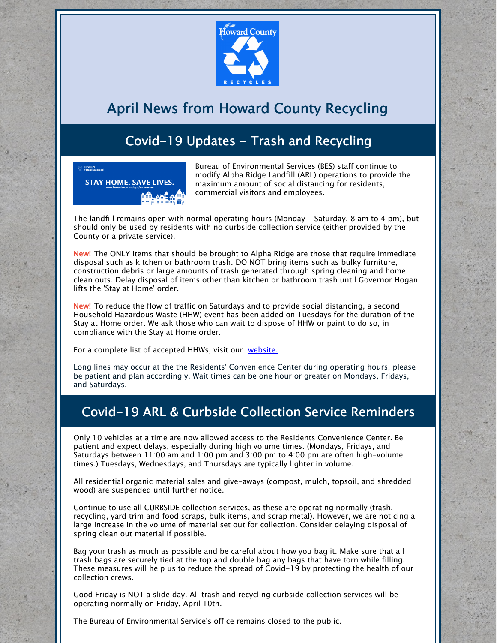

## April News from Howard County Recycling

## Covid-19 Updates - Trash and Recycling



Bureau of Environmental Services (BES) staff continue to modify Alpha Ridge Landfill (ARL) operations to provide the maximum amount of social distancing for residents, commercial visitors and employees.

The landfill remains open with normal operating hours (Monday - Saturday, 8 am to 4 pm), but should only be used by residents with no curbside collection service (either provided by the County or a private service).

New! The ONLY items that should be brought to Alpha Ridge are those that require immediate disposal such as kitchen or bathroom trash. DO NOT bring items such as bulky furniture, construction debris or large amounts of trash generated through spring cleaning and home clean outs. Delay disposal of items other than kitchen or bathroom trash until Governor Hogan lifts the 'Stay at Home' order.

New! To reduce the flow of traffic on Saturdays and to provide social distancing, a second Household Hazardous Waste (HHW) event has been added on Tuesdays for the duration of the Stay at Home order. We ask those who can wait to dispose of HHW or paint to do so, in compliance with the Stay at Home order.

For a complete list of accepted HHWs, visit our [website.](https://www.howardcountymd.gov/Departments/Public-Works/Bureau-Of-Environmental-Services/Alpha-Ridge-Landfill/Household-Hazardous-Waste)

Long lines may occur at the the Residents' Convenience Center during operating hours, please be patient and plan accordingly. Wait times can be one hour or greater on Mondays, Fridays, and Saturdays.

## Covid-19 ARL & Curbside Collection Service Reminders

Only 10 vehicles at a time are now allowed access to the Residents Convenience Center. Be patient and expect delays, especially during high volume times. (Mondays, Fridays, and Saturdays between 11:00 am and 1:00 pm and 3:00 pm to 4:00 pm are often high-volume times.) Tuesdays, Wednesdays, and Thursdays are typically lighter in volume.

All residential organic material sales and give-aways (compost, mulch, topsoil, and shredded wood) are suspended until further notice.

Continue to use all CURBSIDE collection services, as these are operating normally (trash, recycling, yard trim and food scraps, bulk items, and scrap metal). However, we are noticing a large increase in the volume of material set out for collection. Consider delaying disposal of spring clean out material if possible.

Bag your trash as much as possible and be careful about how you bag it. Make sure that all trash bags are securely tied at the top and double bag any bags that have torn while filling. These measures will help us to reduce the spread of Covid-19 by protecting the health of our collection crews.

Good Friday is NOT a slide day. All trash and recycling curbside collection services will be operating normally on Friday, April 10th.

The Bureau of Environmental Service's office remains closed to the public.